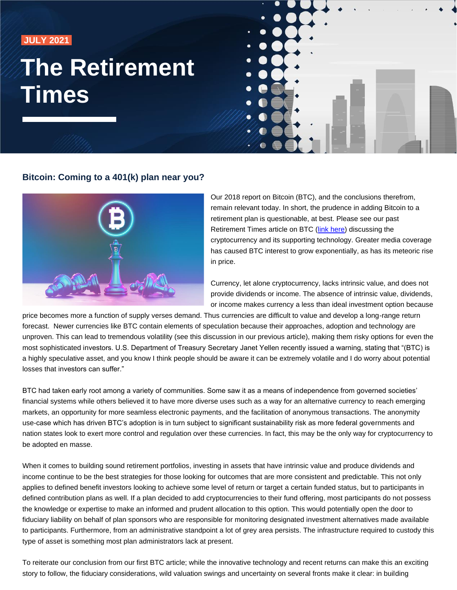**JULY 2021** 

# **The Retirement Times**



#### **Bitcoin: Coming to a 401(k) plan near you?**



Our 2018 report on Bitcoin (BTC), and the conclusions therefrom, remain relevant today. In short, the prudence in adding Bitcoin to a retirement plan is questionable, at best. Please see our past Retirement Times article on BTC [\(link here\)](https://f.hubspotusercontent40.net/hubfs/6743242/RPAG/03%20March%202018%20Retirement%20Times%20Bitcoin%20Article.pdf) discussing the cryptocurrency and its supporting technology. Greater media coverage has caused BTC interest to grow exponentially, as has its meteoric rise in price.

Currency, let alone cryptocurrency, lacks intrinsic value, and does not provide dividends or income. The absence of intrinsic value, dividends, or income makes currency a less than ideal investment option because

price becomes more a function of supply verses demand. Thus currencies are difficult to value and develop a long-range return forecast. Newer currencies like BTC contain elements of speculation because their approaches, adoption and technology are unproven. This can lead to tremendous volatility (see this discussion in our previous article), making them risky options for even the most sophisticated investors. U.S. Department of Treasury Secretary Janet Yellen recently issued a warning, stating that "(BTC) is a highly speculative asset, and you know I think people should be aware it can be extremely volatile and I do worry about potential losses that investors can suffer."

BTC had taken early root among a variety of communities. Some saw it as a means of independence from governed societies' financial systems while others believed it to have more diverse uses such as a way for an alternative currency to reach emerging markets, an opportunity for more seamless electronic payments, and the facilitation of anonymous transactions. The anonymity use-case which has driven BTC's adoption is in turn subject to significant sustainability risk as more federal governments and nation states look to exert more control and regulation over these currencies. In fact, this may be the only way for cryptocurrency to be adopted en masse.

When it comes to building sound retirement portfolios, investing in assets that have intrinsic value and produce dividends and income continue to be the best strategies for those looking for outcomes that are more consistent and predictable. This not only applies to defined benefit investors looking to achieve some level of return or target a certain funded status, but to participants in defined contribution plans as well. If a plan decided to add cryptocurrencies to their fund offering, most participants do not possess the knowledge or expertise to make an informed and prudent allocation to this option. This would potentially open the door to fiduciary liability on behalf of plan sponsors who are responsible for monitoring designated investment alternatives made available to participants. Furthermore, from an administrative standpoint a lot of grey area persists. The infrastructure required to custody this type of asset is something most plan administrators lack at present.

To reiterate our conclusion from our first BTC article; while the innovative technology and recent returns can make this an exciting story to follow, the fiduciary considerations, wild valuation swings and uncertainty on several fronts make it clear: in building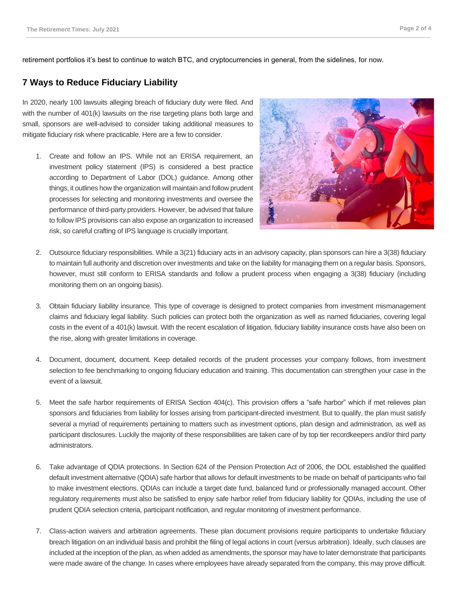retirement portfolios it's best to continue to watch BTC, and cryptocurrencies in general, from the sidelines, for now.

#### **7 Ways to Reduce Fiduciary Liability**

In 2020, nearly 100 lawsuits alleging breach of fiduciary duty were filed. And with the number of 401(k) lawsuits on the rise targeting plans both large and small, sponsors are well-advised to consider taking additional measures to mitigate fiduciary risk where practicable. Here are a few to consider.

1. Create and follow an IPS. While not an ERISA requirement, an investment policy statement (IPS) is considered a best practice according to Department of Labor (DOL) guidance. Among other things, it outlines how the organization will maintain and follow prudent processes for selecting and monitoring investments and oversee the performance of third-party providers. However, be advised that failure to follow IPS provisions can also expose an organization to increased risk, so careful crafting of IPS language is crucially important.



- 2. Outsource fiduciary responsibilities. While a 3(21) fiduciary acts in an advisory capacity, plan sponsors can hire a 3(38) fiduciary to maintain full authority and discretion over investments and take on the liability for managing them on a regular basis. Sponsors, however, must still conform to ERISA standards and follow a prudent process when engaging a 3(38) fiduciary (including monitoring them on an ongoing basis).
- 3. Obtain fiduciary liability insurance. This type of coverage is designed to protect companies from investment mismanagement claims and fiduciary legal liability. Such policies can protect both the organization as well as named fiduciaries, covering legal costs in the event of a 401(k) lawsuit. With the recent escalation of litigation, fiduciary liability insurance costs have also been on the rise, along with greater limitations in coverage.
- 4. Document, document, document. Keep detailed records of the prudent processes your company follows, from investment selection to fee benchmarking to ongoing fiduciary education and training. This documentation can strengthen your case in the event of a lawsuit.
- 5. Meet the safe harbor requirements of ERISA Section 404(c). This provision offers a "safe harbor" which if met relieves plan sponsors and fiduciaries from liability for losses arising from participant-directed investment. But to qualify, the plan must satisfy several a myriad of requirements pertaining to matters such as investment options, plan design and administration, as well as participant disclosures. Luckily the majority of these responsibilities are taken care of by top tier recordkeepers and/or third party administrators.
- 6. Take advantage of QDIA protections. In Section 624 of the Pension Protection Act of 2006, the DOL established the qualified default investment alternative (QDIA) safe harbor that allows for default investments to be made on behalf of participants who fail to make investment elections. QDIAs can include a target date fund, balanced fund or professionally managed account. Other regulatory requirements must also be satisfied to enjoy safe harbor relief from fiduciary liability for QDIAs, including the use of prudent QDIA selection criteria, participant notification, and regular monitoring of investment performance.
- 7. Class-action waivers and arbitration agreements. These plan document provisions require participants to undertake fiduciary breach litigation on an individual basis and prohibit the filing of legal actions in court (versus arbitration). Ideally, such clauses are included at the inception of the plan, as when added as amendments, the sponsor may have to later demonstrate that participants were made aware of the change. In cases where employees have already separated from the company, this may prove difficult.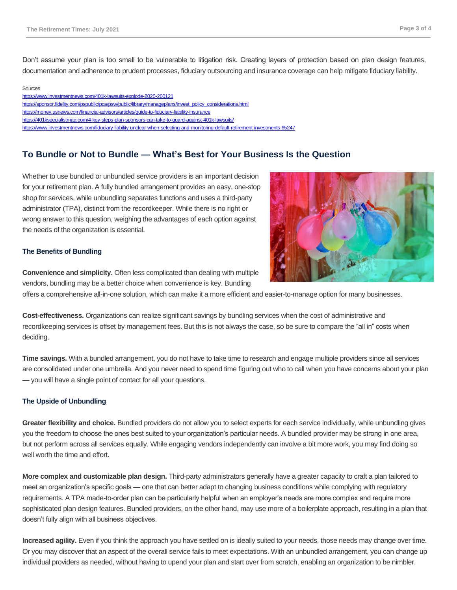Don't assume your plan is too small to be vulnerable to litigation risk. Creating layers of protection based on plan design features, documentation and adherence to prudent processes, fiduciary outsourcing and insurance coverage can help mitigate fiduciary liability.

#### Sources

<https://www.investmentnews.com/401k-lawsuits-explode-2020-200121> [https://sponsor.fidelity.com/pspublic/pca/psw/public/library/manageplans/invest\\_policy\\_considerations.html](https://sponsor.fidelity.com/pspublic/pca/psw/public/library/manageplans/invest_policy_considerations.html) <https://money.usnews.com/financial-advisors/articles/guide-to-fiduciary-liability-insurance> <https://401kspecialistmag.com/4-key-steps-plan-sponsors-can-take-to-guard-against-401k-lawsuits/> <https://www.investmentnews.com/fiduciary-liability-unclear-when-selecting-and-monitoring-default-retirement-investments-65247>

#### **To Bundle or Not to Bundle — What's Best for Your Business Is the Question**

Whether to use bundled or unbundled service providers is an important decision for your retirement plan. A fully bundled arrangement provides an easy, one-stop shop for services, while unbundling separates functions and uses a third-party administrator (TPA), distinct from the recordkeeper. While there is no right or wrong answer to this question, weighing the advantages of each option against the needs of the organization is essential.



#### **The Benefits of Bundling**

**Convenience and simplicity.** Often less complicated than dealing with multiple vendors, bundling may be a better choice when convenience is key. Bundling

offers a comprehensive all-in-one solution, which can make it a more efficient and easier-to-manage option for many businesses.

**Cost-effectiveness.** Organizations can realize significant savings by bundling services when the cost of administrative and recordkeeping services is offset by management fees. But this is not always the case, so be sure to compare the "all in" costs when deciding.

**Time savings.** With a bundled arrangement, you do not have to take time to research and engage multiple providers since all services are consolidated under one umbrella. And you never need to spend time figuring out who to call when you have concerns about your plan — you will have a single point of contact for all your questions.

#### **The Upside of Unbundling**

**Greater flexibility and choice.** Bundled providers do not allow you to select experts for each service individually, while unbundling gives you the freedom to choose the ones best suited to your organization's particular needs. A bundled provider may be strong in one area, but not perform across all services equally. While engaging vendors independently can involve a bit more work, you may find doing so well worth the time and effort.

**More complex and customizable plan design.** Third-party administrators generally have a greater capacity to craft a plan tailored to meet an organization's specific goals — one that can better adapt to changing business conditions while complying with regulatory requirements. A TPA made-to-order plan can be particularly helpful when an employer's needs are more complex and require more sophisticated plan design features. Bundled providers, on the other hand, may use more of a boilerplate approach, resulting in a plan that doesn't fully align with all business objectives.

**Increased agility.** Even if you think the approach you have settled on is ideally suited to your needs, those needs may change over time. Or you may discover that an aspect of the overall service fails to meet expectations. With an unbundled arrangement, you can change up individual providers as needed, without having to upend your plan and start over from scratch, enabling an organization to be nimbler.